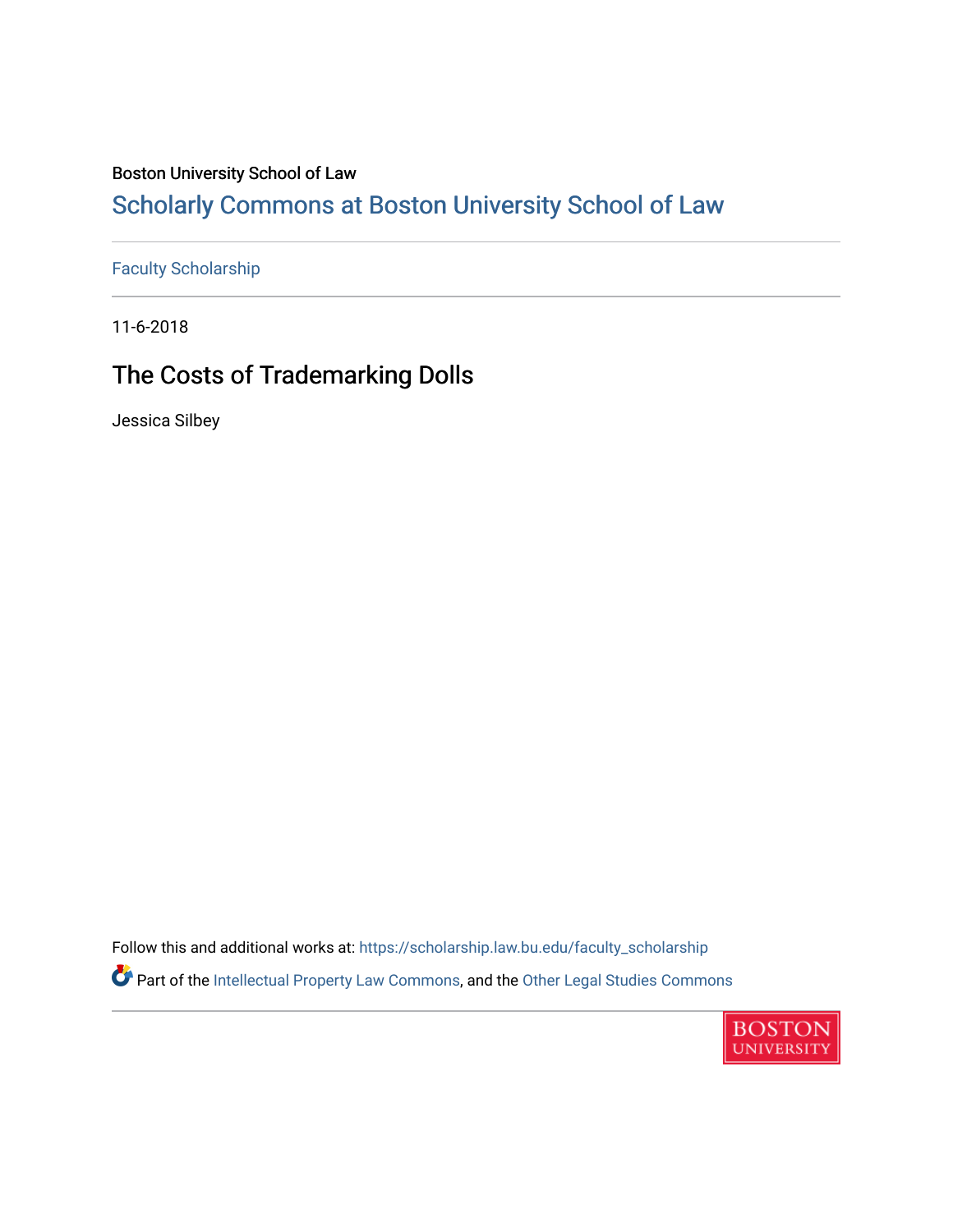## Boston University School of Law

## [Scholarly Commons at Boston University School of Law](https://scholarship.law.bu.edu/)

[Faculty Scholarship](https://scholarship.law.bu.edu/faculty_scholarship)

11-6-2018

## The Costs of Trademarking Dolls

Jessica Silbey

Follow this and additional works at: [https://scholarship.law.bu.edu/faculty\\_scholarship](https://scholarship.law.bu.edu/faculty_scholarship?utm_source=scholarship.law.bu.edu%2Ffaculty_scholarship%2F1384&utm_medium=PDF&utm_campaign=PDFCoverPages) Part of the [Intellectual Property Law Commons,](http://network.bepress.com/hgg/discipline/896?utm_source=scholarship.law.bu.edu%2Ffaculty_scholarship%2F1384&utm_medium=PDF&utm_campaign=PDFCoverPages) and the [Other Legal Studies Commons](http://network.bepress.com/hgg/discipline/370?utm_source=scholarship.law.bu.edu%2Ffaculty_scholarship%2F1384&utm_medium=PDF&utm_campaign=PDFCoverPages)

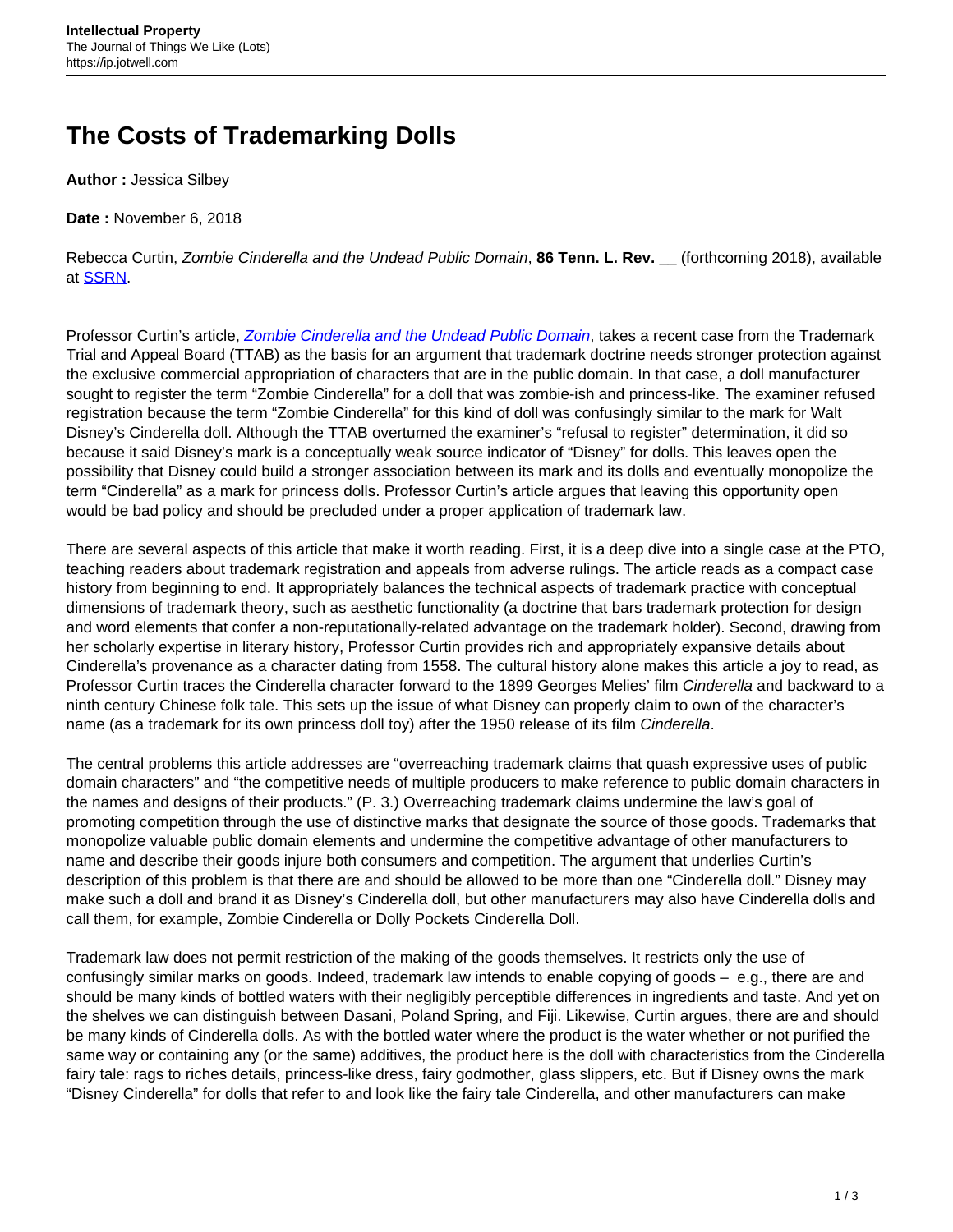## **The Costs of Trademarking Dolls**

**Author :** Jessica Silbey

**Date :** November 6, 2018

Rebecca Curtin, Zombie Cinderella and the Undead Public Domain, **86 Tenn. L. Rev. \_\_** (forthcoming 2018), available at [SSRN](https://papers.ssrn.com/sol3/papers.cfm?abstract_id=3273631).

Professor Curtin's article, [Zombie Cinderella and the Undead Public Domain](https://papers.ssrn.com/sol3/papers.cfm?abstract_id=3273631), takes a recent case from the Trademark Trial and Appeal Board (TTAB) as the basis for an argument that trademark doctrine needs stronger protection against the exclusive commercial appropriation of characters that are in the public domain. In that case, a doll manufacturer sought to register the term "Zombie Cinderella" for a doll that was zombie-ish and princess-like. The examiner refused registration because the term "Zombie Cinderella" for this kind of doll was confusingly similar to the mark for Walt Disney's Cinderella doll. Although the TTAB overturned the examiner's "refusal to register" determination, it did so because it said Disney's mark is a conceptually weak source indicator of "Disney" for dolls. This leaves open the possibility that Disney could build a stronger association between its mark and its dolls and eventually monopolize the term "Cinderella" as a mark for princess dolls. Professor Curtin's article argues that leaving this opportunity open would be bad policy and should be precluded under a proper application of trademark law.

There are several aspects of this article that make it worth reading. First, it is a deep dive into a single case at the PTO, teaching readers about trademark registration and appeals from adverse rulings. The article reads as a compact case history from beginning to end. It appropriately balances the technical aspects of trademark practice with conceptual dimensions of trademark theory, such as aesthetic functionality (a doctrine that bars trademark protection for design and word elements that confer a non-reputationally-related advantage on the trademark holder). Second, drawing from her scholarly expertise in literary history, Professor Curtin provides rich and appropriately expansive details about Cinderella's provenance as a character dating from 1558. The cultural history alone makes this article a joy to read, as Professor Curtin traces the Cinderella character forward to the 1899 Georges Melies' film Cinderella and backward to a ninth century Chinese folk tale. This sets up the issue of what Disney can properly claim to own of the character's name (as a trademark for its own princess doll toy) after the 1950 release of its film Cinderella.

The central problems this article addresses are "overreaching trademark claims that quash expressive uses of public domain characters" and "the competitive needs of multiple producers to make reference to public domain characters in the names and designs of their products." (P. 3.) Overreaching trademark claims undermine the law's goal of promoting competition through the use of distinctive marks that designate the source of those goods. Trademarks that monopolize valuable public domain elements and undermine the competitive advantage of other manufacturers to name and describe their goods injure both consumers and competition. The argument that underlies Curtin's description of this problem is that there are and should be allowed to be more than one "Cinderella doll." Disney may make such a doll and brand it as Disney's Cinderella doll, but other manufacturers may also have Cinderella dolls and call them, for example, Zombie Cinderella or Dolly Pockets Cinderella Doll.

Trademark law does not permit restriction of the making of the goods themselves. It restricts only the use of confusingly similar marks on goods. Indeed, trademark law intends to enable copying of goods – e.g., there are and should be many kinds of bottled waters with their negligibly perceptible differences in ingredients and taste. And yet on the shelves we can distinguish between Dasani, Poland Spring, and Fiji. Likewise, Curtin argues, there are and should be many kinds of Cinderella dolls. As with the bottled water where the product is the water whether or not purified the same way or containing any (or the same) additives, the product here is the doll with characteristics from the Cinderella fairy tale: rags to riches details, princess-like dress, fairy godmother, glass slippers, etc. But if Disney owns the mark "Disney Cinderella" for dolls that refer to and look like the fairy tale Cinderella, and other manufacturers can make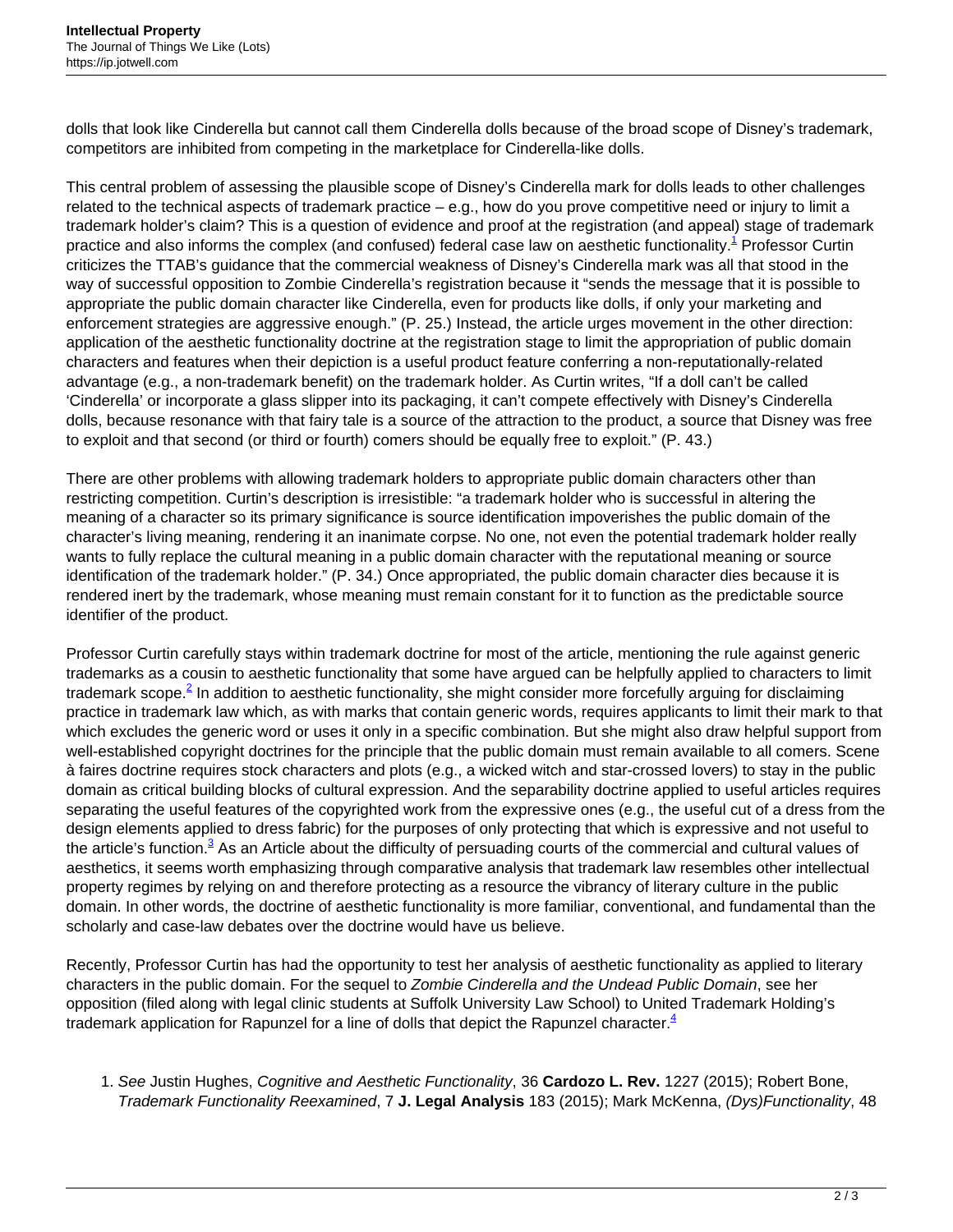dolls that look like Cinderella but cannot call them Cinderella dolls because of the broad scope of Disney's trademark, competitors are inhibited from competing in the marketplace for Cinderella-like dolls.

This central problem of assessing the plausible scope of Disney's Cinderella mark for dolls leads to other challenges related to the technical aspects of trademark practice – e.g., how do you prove competitive need or injury to limit a trademark holder's claim? This is a question of evidence and proof at the registration (and appeal) stage of trademark practice and also informs the complex (and confused) federal case law on aesthetic functionality.<sup>1</sup> Professor Curtin criticizes the TTAB's guidance that the commercial weakness of Disney's Cinderella mark was all that stood in the way of successful opposition to Zombie Cinderella's registration because it "sends the message that it is possible to appropriate the public domain character like Cinderella, even for products like dolls, if only your marketing and enforcement strategies are aggressive enough." (P. 25.) Instead, the article urges movement in the other direction: application of the aesthetic functionality doctrine at the registration stage to limit the appropriation of public domain characters and features when their depiction is a useful product feature conferring a non-reputationally-related advantage (e.g., a non-trademark benefit) on the trademark holder. As Curtin writes, "If a doll can't be called 'Cinderella' or incorporate a glass slipper into its packaging, it can't compete effectively with Disney's Cinderella dolls, because resonance with that fairy tale is a source of the attraction to the product, a source that Disney was free to exploit and that second (or third or fourth) comers should be equally free to exploit." (P. 43.)

There are other problems with allowing trademark holders to appropriate public domain characters other than restricting competition. Curtin's description is irresistible: "a trademark holder who is successful in altering the meaning of a character so its primary significance is source identification impoverishes the public domain of the character's living meaning, rendering it an inanimate corpse. No one, not even the potential trademark holder really wants to fully replace the cultural meaning in a public domain character with the reputational meaning or source identification of the trademark holder." (P. 34.) Once appropriated, the public domain character dies because it is rendered inert by the trademark, whose meaning must remain constant for it to function as the predictable source identifier of the product.

Professor Curtin carefully stays within trademark doctrine for most of the article, mentioning the rule against generic trademarks as a cousin to aesthetic functionality that some have argued can be helpfully applied to characters to limit trademark scope.<sup>2</sup> In addition to aesthetic functionality, she might consider more forcefully arguing for disclaiming practice in trademark law which, as with marks that contain generic words, requires applicants to limit their mark to that which excludes the generic word or uses it only in a specific combination. But she might also draw helpful support from well-established copyright doctrines for the principle that the public domain must remain available to all comers. Scene à faires doctrine requires stock characters and plots (e.g., a wicked witch and star-crossed lovers) to stay in the public domain as critical building blocks of cultural expression. And the separability doctrine applied to useful articles requires separating the useful features of the copyrighted work from the expressive ones (e.g., the useful cut of a dress from the design elements applied to dress fabric) for the purposes of only protecting that which is expressive and not useful to the article's function.<sup>3</sup> As an Article about the difficulty of persuading courts of the commercial and cultural values of aesthetics, it seems worth emphasizing through comparative analysis that trademark law resembles other intellectual property regimes by relying on and therefore protecting as a resource the vibrancy of literary culture in the public domain. In other words, the doctrine of aesthetic functionality is more familiar, conventional, and fundamental than the scholarly and case-law debates over the doctrine would have us believe.

Recently, Professor Curtin has had the opportunity to test her analysis of aesthetic functionality as applied to literary characters in the public domain. For the sequel to Zombie Cinderella and the Undead Public Domain, see her opposition (filed along with legal clinic students at Suffolk University Law School) to United Trademark Holding's trademark application for Rapunzel for a line of dolls that depict the Rapunzel character. $4$ 

1. See Justin Hughes, Cognitive and Aesthetic Functionality, 36 **Cardozo L. Rev.** 1227 (2015); Robert Bone, Trademark Functionality Reexamined, 7 **J. Legal Analysis** 183 (2015); Mark McKenna, (Dys)Functionality, 48